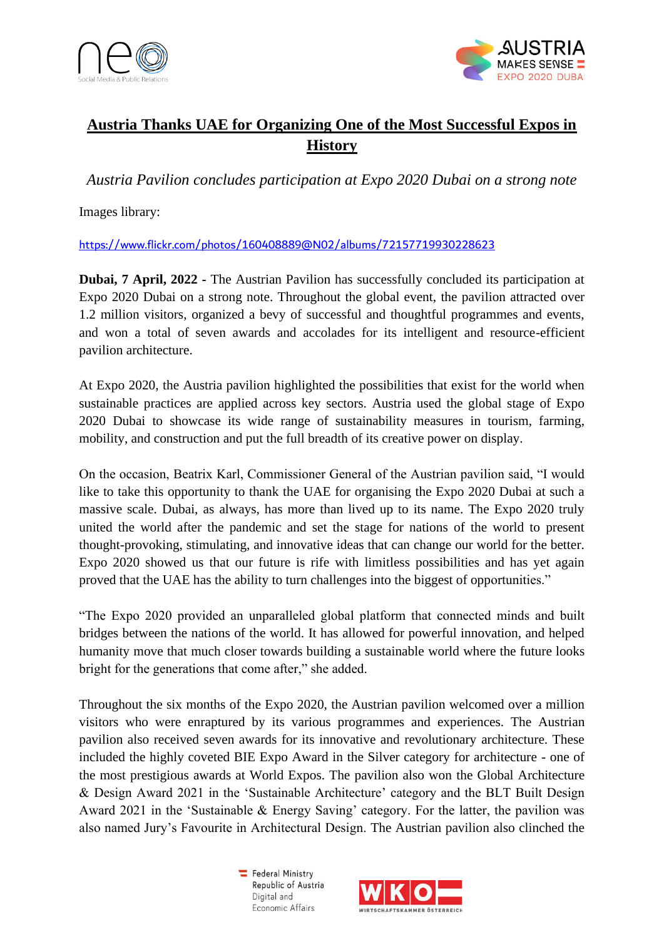



## **Austria Thanks UAE for Organizing One of the Most Successful Expos in History**

*Austria Pavilion concludes participation at Expo 2020 Dubai on a strong note*

Images library:

<https://www.flickr.com/photos/160408889@N02/albums/72157719930228623>

**Dubai, 7 April, 2022 -** The Austrian Pavilion has successfully concluded its participation at Expo 2020 Dubai on a strong note. Throughout the global event, the pavilion attracted over 1.2 million visitors, organized a bevy of successful and thoughtful programmes and events, and won a total of seven awards and accolades for its intelligent and resource-efficient pavilion architecture.

At Expo 2020, the Austria pavilion highlighted the possibilities that exist for the world when sustainable practices are applied across key sectors. Austria used the global stage of Expo 2020 Dubai to showcase its wide range of sustainability measures in tourism, farming, mobility, and construction and put the full breadth of its creative power on display.

On the occasion, Beatrix Karl, Commissioner General of the Austrian pavilion said, "I would like to take this opportunity to thank the UAE for organising the Expo 2020 Dubai at such a massive scale. Dubai, as always, has more than lived up to its name. The Expo 2020 truly united the world after the pandemic and set the stage for nations of the world to present thought-provoking, stimulating, and innovative ideas that can change our world for the better. Expo 2020 showed us that our future is rife with limitless possibilities and has yet again proved that the UAE has the ability to turn challenges into the biggest of opportunities."

"The Expo 2020 provided an unparalleled global platform that connected minds and built bridges between the nations of the world. It has allowed for powerful innovation, and helped humanity move that much closer towards building a sustainable world where the future looks bright for the generations that come after," she added.

Throughout the six months of the Expo 2020, the Austrian pavilion welcomed over a million visitors who were enraptured by its various programmes and experiences. The Austrian pavilion also received seven awards for its innovative and revolutionary architecture. These included the highly coveted BIE Expo Award in the Silver category for architecture - one of the most prestigious awards at World Expos. The pavilion also won the Global Architecture & Design Award 2021 in the 'Sustainable Architecture' category and the BLT Built Design Award 2021 in the 'Sustainable & Energy Saving' category. For the latter, the pavilion was also named Jury's Favourite in Architectural Design. The Austrian pavilion also clinched the

> Federal Ministry Republic of Austria Digital and Economic Affairs